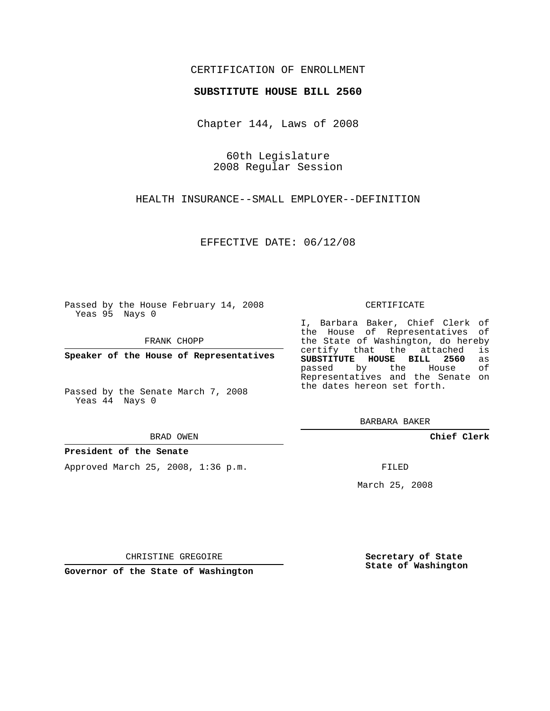## CERTIFICATION OF ENROLLMENT

### **SUBSTITUTE HOUSE BILL 2560**

Chapter 144, Laws of 2008

60th Legislature 2008 Regular Session

HEALTH INSURANCE--SMALL EMPLOYER--DEFINITION

EFFECTIVE DATE: 06/12/08

Passed by the House February 14, 2008 Yeas 95 Nays 0

FRANK CHOPP

**Speaker of the House of Representatives**

Passed by the Senate March 7, 2008 Yeas 44 Nays 0

#### BRAD OWEN

#### **President of the Senate**

Approved March 25, 2008, 1:36 p.m.

#### CERTIFICATE

I, Barbara Baker, Chief Clerk of the House of Representatives of the State of Washington, do hereby<br>certify that the attached is certify that the attached **SUBSTITUTE HOUSE BILL 2560** as passed by the House Representatives and the Senate on the dates hereon set forth.

BARBARA BAKER

**Chief Clerk**

FILED

March 25, 2008

CHRISTINE GREGOIRE

**Governor of the State of Washington**

**Secretary of State State of Washington**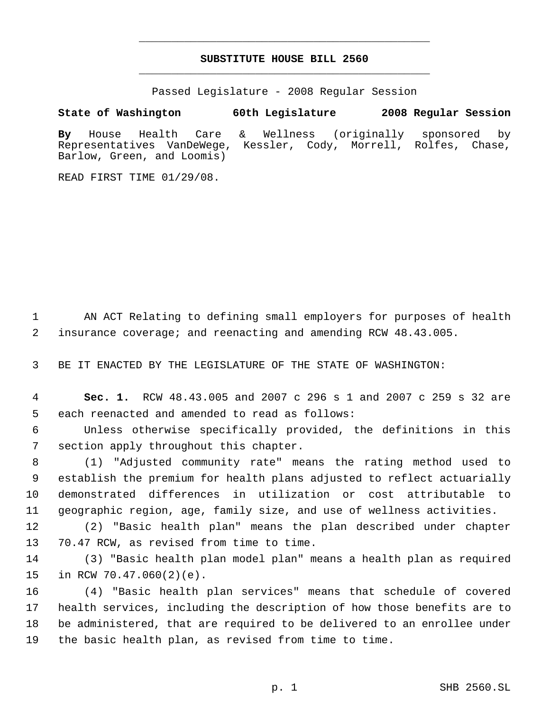# **SUBSTITUTE HOUSE BILL 2560** \_\_\_\_\_\_\_\_\_\_\_\_\_\_\_\_\_\_\_\_\_\_\_\_\_\_\_\_\_\_\_\_\_\_\_\_\_\_\_\_\_\_\_\_\_

\_\_\_\_\_\_\_\_\_\_\_\_\_\_\_\_\_\_\_\_\_\_\_\_\_\_\_\_\_\_\_\_\_\_\_\_\_\_\_\_\_\_\_\_\_

Passed Legislature - 2008 Regular Session

**State of Washington 60th Legislature 2008 Regular Session By** House Health Care & Wellness (originally sponsored by Representatives VanDeWege, Kessler, Cody, Morrell, Rolfes, Chase, Barlow, Green, and Loomis)

READ FIRST TIME 01/29/08.

 AN ACT Relating to defining small employers for purposes of health insurance coverage; and reenacting and amending RCW 48.43.005.

BE IT ENACTED BY THE LEGISLATURE OF THE STATE OF WASHINGTON:

 **Sec. 1.** RCW 48.43.005 and 2007 c 296 s 1 and 2007 c 259 s 32 are each reenacted and amended to read as follows:

 Unless otherwise specifically provided, the definitions in this section apply throughout this chapter.

 (1) "Adjusted community rate" means the rating method used to establish the premium for health plans adjusted to reflect actuarially demonstrated differences in utilization or cost attributable to geographic region, age, family size, and use of wellness activities.

 (2) "Basic health plan" means the plan described under chapter 70.47 RCW, as revised from time to time.

 (3) "Basic health plan model plan" means a health plan as required in RCW 70.47.060(2)(e).

 (4) "Basic health plan services" means that schedule of covered health services, including the description of how those benefits are to be administered, that are required to be delivered to an enrollee under the basic health plan, as revised from time to time.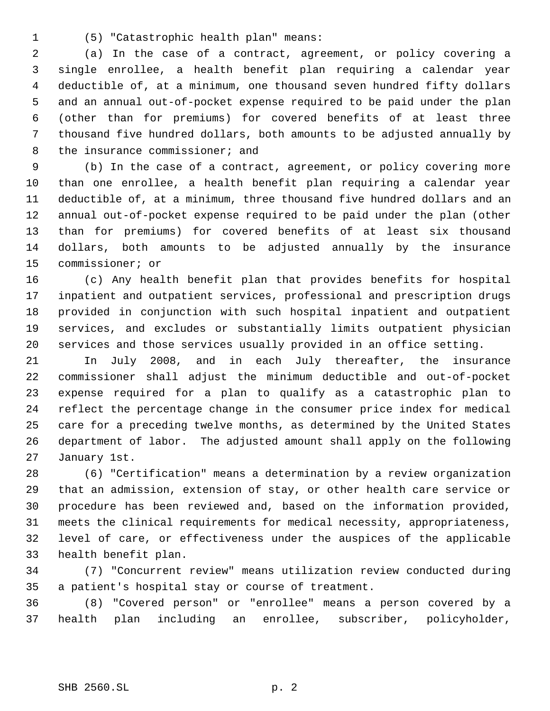(5) "Catastrophic health plan" means:

 (a) In the case of a contract, agreement, or policy covering a single enrollee, a health benefit plan requiring a calendar year deductible of, at a minimum, one thousand seven hundred fifty dollars and an annual out-of-pocket expense required to be paid under the plan (other than for premiums) for covered benefits of at least three thousand five hundred dollars, both amounts to be adjusted annually by 8 the insurance commissioner; and

 (b) In the case of a contract, agreement, or policy covering more than one enrollee, a health benefit plan requiring a calendar year deductible of, at a minimum, three thousand five hundred dollars and an annual out-of-pocket expense required to be paid under the plan (other than for premiums) for covered benefits of at least six thousand dollars, both amounts to be adjusted annually by the insurance commissioner; or

 (c) Any health benefit plan that provides benefits for hospital inpatient and outpatient services, professional and prescription drugs provided in conjunction with such hospital inpatient and outpatient services, and excludes or substantially limits outpatient physician services and those services usually provided in an office setting.

 In July 2008, and in each July thereafter, the insurance commissioner shall adjust the minimum deductible and out-of-pocket expense required for a plan to qualify as a catastrophic plan to reflect the percentage change in the consumer price index for medical care for a preceding twelve months, as determined by the United States department of labor. The adjusted amount shall apply on the following January 1st.

 (6) "Certification" means a determination by a review organization that an admission, extension of stay, or other health care service or procedure has been reviewed and, based on the information provided, meets the clinical requirements for medical necessity, appropriateness, level of care, or effectiveness under the auspices of the applicable health benefit plan.

 (7) "Concurrent review" means utilization review conducted during a patient's hospital stay or course of treatment.

 (8) "Covered person" or "enrollee" means a person covered by a health plan including an enrollee, subscriber, policyholder,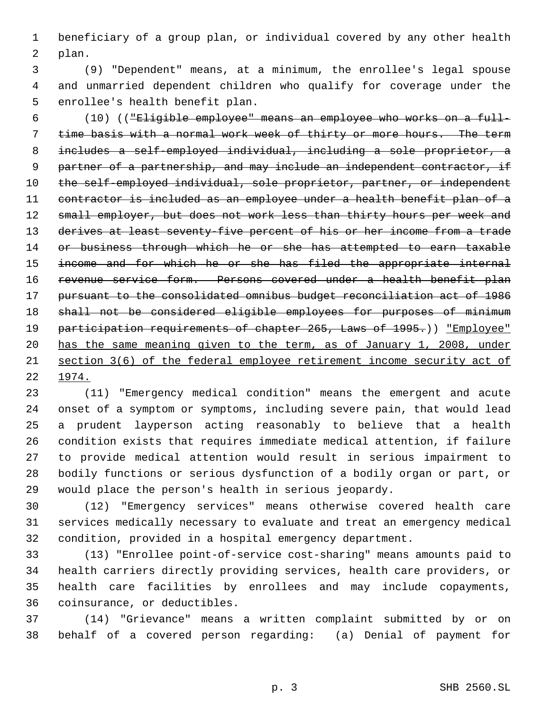beneficiary of a group plan, or individual covered by any other health plan.

 (9) "Dependent" means, at a minimum, the enrollee's legal spouse and unmarried dependent children who qualify for coverage under the enrollee's health benefit plan.

 (10) (("Eligible employee" means an employee who works on a full- 7 time basis with a normal work week of thirty or more hours. The term includes a self-employed individual, including a sole proprietor, a 9 partner of a partnership, and may include an independent contractor, if 10 the self-employed individual, sole proprietor, partner, or independent contractor is included as an employee under a health benefit plan of a 12 small employer, but does not work less than thirty hours per week and 13 derives at least seventy-five percent of his or her income from a trade 14 or business through which he or she has attempted to earn taxable 15 income and for which he or she has filed the appropriate internal revenue service form. Persons covered under a health benefit plan pursuant to the consolidated omnibus budget reconciliation act of 1986 18 shall not be considered eligible employees for purposes of minimum 19 participation requirements of chapter 265, Laws of 1995.)) "Employee" has the same meaning given to the term, as of January 1, 2008, under section 3(6) of the federal employee retirement income security act of 1974.

 (11) "Emergency medical condition" means the emergent and acute onset of a symptom or symptoms, including severe pain, that would lead a prudent layperson acting reasonably to believe that a health condition exists that requires immediate medical attention, if failure to provide medical attention would result in serious impairment to bodily functions or serious dysfunction of a bodily organ or part, or would place the person's health in serious jeopardy.

 (12) "Emergency services" means otherwise covered health care services medically necessary to evaluate and treat an emergency medical condition, provided in a hospital emergency department.

 (13) "Enrollee point-of-service cost-sharing" means amounts paid to health carriers directly providing services, health care providers, or health care facilities by enrollees and may include copayments, coinsurance, or deductibles.

 (14) "Grievance" means a written complaint submitted by or on behalf of a covered person regarding: (a) Denial of payment for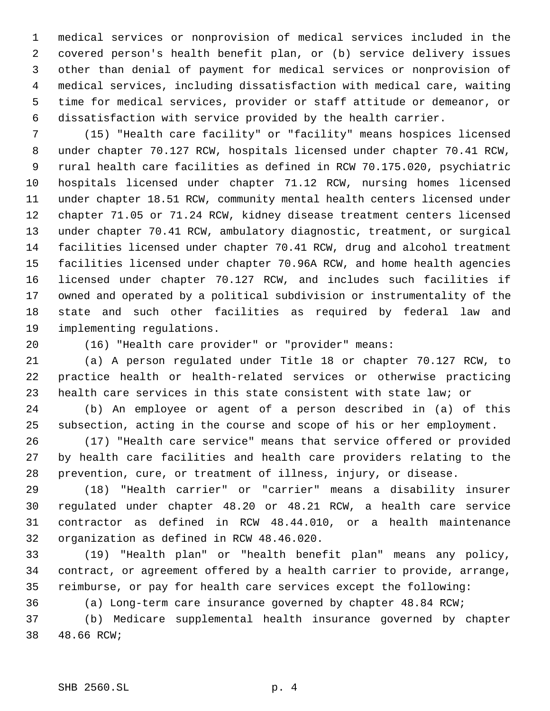medical services or nonprovision of medical services included in the covered person's health benefit plan, or (b) service delivery issues other than denial of payment for medical services or nonprovision of medical services, including dissatisfaction with medical care, waiting time for medical services, provider or staff attitude or demeanor, or dissatisfaction with service provided by the health carrier.

 (15) "Health care facility" or "facility" means hospices licensed under chapter 70.127 RCW, hospitals licensed under chapter 70.41 RCW, rural health care facilities as defined in RCW 70.175.020, psychiatric hospitals licensed under chapter 71.12 RCW, nursing homes licensed under chapter 18.51 RCW, community mental health centers licensed under chapter 71.05 or 71.24 RCW, kidney disease treatment centers licensed under chapter 70.41 RCW, ambulatory diagnostic, treatment, or surgical facilities licensed under chapter 70.41 RCW, drug and alcohol treatment facilities licensed under chapter 70.96A RCW, and home health agencies licensed under chapter 70.127 RCW, and includes such facilities if owned and operated by a political subdivision or instrumentality of the state and such other facilities as required by federal law and implementing regulations.

(16) "Health care provider" or "provider" means:

 (a) A person regulated under Title 18 or chapter 70.127 RCW, to practice health or health-related services or otherwise practicing health care services in this state consistent with state law; or

 (b) An employee or agent of a person described in (a) of this subsection, acting in the course and scope of his or her employment.

 (17) "Health care service" means that service offered or provided by health care facilities and health care providers relating to the prevention, cure, or treatment of illness, injury, or disease.

 (18) "Health carrier" or "carrier" means a disability insurer regulated under chapter 48.20 or 48.21 RCW, a health care service contractor as defined in RCW 48.44.010, or a health maintenance organization as defined in RCW 48.46.020.

 (19) "Health plan" or "health benefit plan" means any policy, contract, or agreement offered by a health carrier to provide, arrange, reimburse, or pay for health care services except the following:

(a) Long-term care insurance governed by chapter 48.84 RCW;

 (b) Medicare supplemental health insurance governed by chapter 48.66 RCW;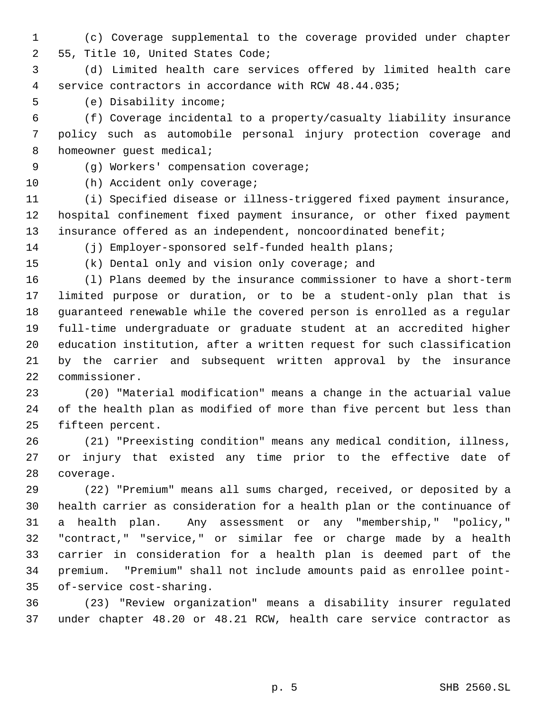(c) Coverage supplemental to the coverage provided under chapter 55, Title 10, United States Code;

 (d) Limited health care services offered by limited health care service contractors in accordance with RCW 48.44.035;

(e) Disability income;

 (f) Coverage incidental to a property/casualty liability insurance policy such as automobile personal injury protection coverage and 8 homeowner guest medical;

(g) Workers' compensation coverage;

10 (h) Accident only coverage;

 (i) Specified disease or illness-triggered fixed payment insurance, hospital confinement fixed payment insurance, or other fixed payment insurance offered as an independent, noncoordinated benefit;

(j) Employer-sponsored self-funded health plans;

(k) Dental only and vision only coverage; and

 (l) Plans deemed by the insurance commissioner to have a short-term limited purpose or duration, or to be a student-only plan that is guaranteed renewable while the covered person is enrolled as a regular full-time undergraduate or graduate student at an accredited higher education institution, after a written request for such classification by the carrier and subsequent written approval by the insurance commissioner.

 (20) "Material modification" means a change in the actuarial value of the health plan as modified of more than five percent but less than fifteen percent.

 (21) "Preexisting condition" means any medical condition, illness, or injury that existed any time prior to the effective date of coverage.

 (22) "Premium" means all sums charged, received, or deposited by a health carrier as consideration for a health plan or the continuance of a health plan. Any assessment or any "membership," "policy," "contract," "service," or similar fee or charge made by a health carrier in consideration for a health plan is deemed part of the premium. "Premium" shall not include amounts paid as enrollee point-of-service cost-sharing.

 (23) "Review organization" means a disability insurer regulated under chapter 48.20 or 48.21 RCW, health care service contractor as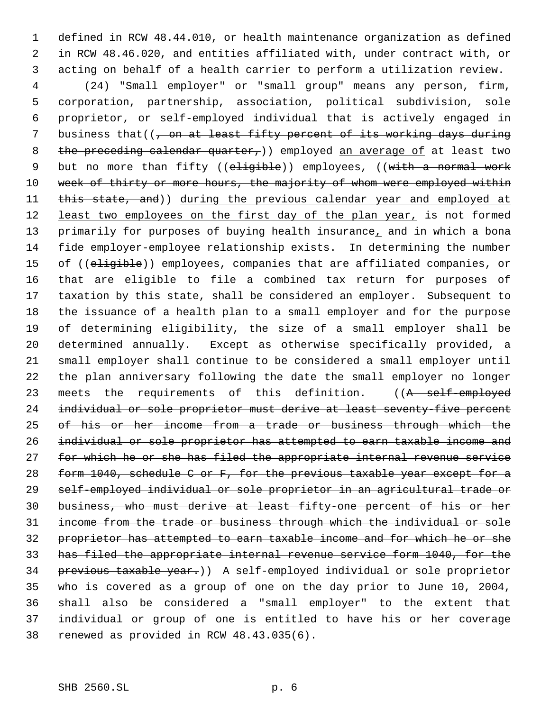defined in RCW 48.44.010, or health maintenance organization as defined in RCW 48.46.020, and entities affiliated with, under contract with, or acting on behalf of a health carrier to perform a utilization review.

 (24) "Small employer" or "small group" means any person, firm, corporation, partnership, association, political subdivision, sole proprietor, or self-employed individual that is actively engaged in 7 business that( $\left($ , on at least fifty percent of its working days during 8 the preceding calendar quarter, ) employed an average of at least two 9 but no more than fifty ((eligible)) employees, ((with a normal work 10 week of thirty or more hours, the majority of whom were employed within 11 this state, and)) during the previous calendar year and employed at 12 least two employees on the first day of the plan year, is not formed 13 primarily for purposes of buying health insurance, and in which a bona fide employer-employee relationship exists. In determining the number 15 of ((eligible)) employees, companies that are affiliated companies, or that are eligible to file a combined tax return for purposes of taxation by this state, shall be considered an employer. Subsequent to the issuance of a health plan to a small employer and for the purpose of determining eligibility, the size of a small employer shall be determined annually. Except as otherwise specifically provided, a small employer shall continue to be considered a small employer until the plan anniversary following the date the small employer no longer 23 meets the requirements of this definition. ((A self-employed 24 individual or sole proprietor must derive at least seventy-five percent of his or her income from a trade or business through which the individual or sole proprietor has attempted to earn taxable income and 27 for which he or she has filed the appropriate internal revenue service form 1040, schedule C or F, for the previous taxable year except for a self-employed individual or sole proprietor in an agricultural trade or business, who must derive at least fifty-one percent of his or her income from the trade or business through which the individual or sole proprietor has attempted to earn taxable income and for which he or she has filed the appropriate internal revenue service form 1040, for the previous taxable year.)) A self-employed individual or sole proprietor who is covered as a group of one on the day prior to June 10, 2004, shall also be considered a "small employer" to the extent that individual or group of one is entitled to have his or her coverage renewed as provided in RCW 48.43.035(6).